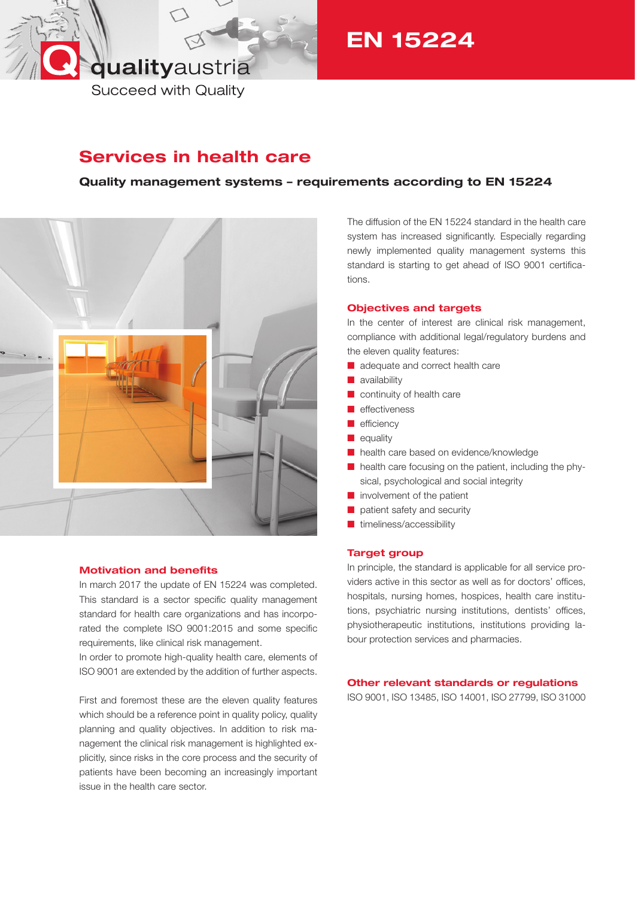# qualityaustria

EN 15224

**Succeed with Quality** 

## Services in health care

## Quality management systems – requirements according to EN 15224



### Motivation and benefits

In march 2017 the update of EN 15224 was completed. This standard is a sector specific quality management standard for health care organizations and has incorporated the complete ISO 9001:2015 and some specific requirements, like clinical risk management.

In order to promote high-quality health care, elements of ISO 9001 are extended by the addition of further aspects.

First and foremost these are the eleven quality features which should be a reference point in quality policy, quality planning and quality objectives. In addition to risk management the clinical risk management is highlighted explicitly, since risks in the core process and the security of patients have been becoming an increasingly important issue in the health care sector.

The diffusion of the EN 15224 standard in the health care system has increased significantly. Especially regarding newly implemented quality management systems this standard is starting to get ahead of ISO 9001 certifications.

### Objectives and targets

In the center of interest are clinical risk management, compliance with additional legal/regulatory burdens and the eleven quality features:

- adequate and correct health care
- $\blacksquare$  availability
- continuity of health care
- $\blacksquare$  effectiveness
- $\blacksquare$  efficiency
- $\blacksquare$  equality
- n health care based on evidence/knowledge
- health care focusing on the patient, including the physical, psychological and social integrity
- $\blacksquare$  involvement of the patient
- $\blacksquare$  patient safety and security
- $\blacksquare$  timeliness/accessibility

### Target group

In principle, the standard is applicable for all service providers active in this sector as well as for doctors' offices, hospitals, nursing homes, hospices, health care institutions, psychiatric nursing institutions, dentists' offices, physiotherapeutic institutions, institutions providing labour protection services and pharmacies.

### Other relevant standards or regulations

ISO 9001, ISO 13485, ISO 14001, ISO 27799, ISO 31000